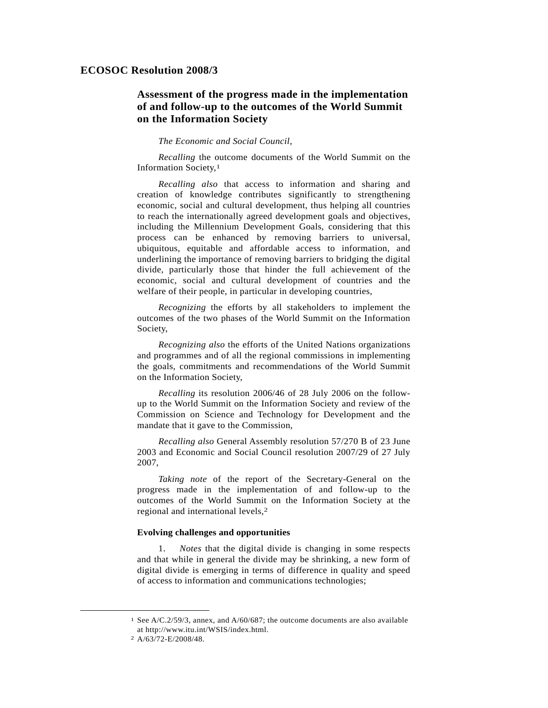## **ECOSOC Resolution 2008/3**

# **Assessment of the progress made in the implementation of and follow-up to the outcomes of the World Summit on the Information Society**

#### *The Economic and Social Council*,

*Recalling* the outcome documents of the World Summit on the Information Society,1

*Recalling also* that access to information and sharing and creation of knowledge contributes significantly to strengthening economic, social and cultural development, thus helping all countries to reach the internationally agreed development goals and objectives, including the Millennium Development Goals, considering that this process can be enhanced by removing barriers to universal, ubiquitous, equitable and affordable access to information, and underlining the importance of removing barriers to bridging the digital divide, particularly those that hinder the full achievement of the economic, social and cultural development of countries and the welfare of their people, in particular in developing countries,

*Recognizing* the efforts by all stakeholders to implement the outcomes of the two phases of the World Summit on the Information Society,

*Recognizing also* the efforts of the United Nations organizations and programmes and of all the regional commissions in implementing the goals, commitments and recommendations of the World Summit on the Information Society,

*Recalling* its resolution 2006/46 of 28 July 2006 on the followup to the World Summit on the Information Society and review of the Commission on Science and Technology for Development and the mandate that it gave to the Commission,

*Recalling also* General Assembly resolution 57/270 B of 23 June 2003 and Economic and Social Council resolution 2007/29 of 27 July 2007,

*Taking note* of the report of the Secretary-General on the progress made in the implementation of and follow-up to the outcomes of the World Summit on the Information Society at the regional and international levels,2

#### **Evolving challenges and opportunities**

 1. *Notes* that the digital divide is changing in some respects and that while in general the divide may be shrinking, a new form of digital divide is emerging in terms of difference in quality and speed of access to information and communications technologies;

 <sup>1</sup> See A/C.2/59/3, annex, and A/60/687; the outcome documents are also available at http://www.itu.int/WSIS/index.html.

<sup>2</sup> A/63/72-E/2008/48.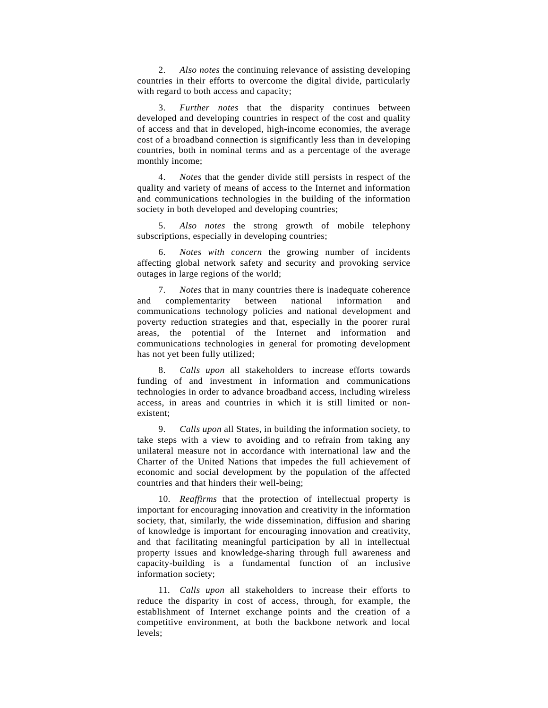2. *Also notes* the continuing relevance of assisting developing countries in their efforts to overcome the digital divide, particularly with regard to both access and capacity;

 3. *Further notes* that the disparity continues between developed and developing countries in respect of the cost and quality of access and that in developed, high-income economies, the average cost of a broadband connection is significantly less than in developing countries, both in nominal terms and as a percentage of the average monthly income;

 4. *Notes* that the gender divide still persists in respect of the quality and variety of means of access to the Internet and information and communications technologies in the building of the information society in both developed and developing countries;

 5. *Also notes* the strong growth of mobile telephony subscriptions, especially in developing countries;

 6. *Notes with concern* the growing number of incidents affecting global network safety and security and provoking service outages in large regions of the world;

 7. *Notes* that in many countries there is inadequate coherence and complementarity between national information and communications technology policies and national development and poverty reduction strategies and that, especially in the poorer rural areas, the potential of the Internet and information and communications technologies in general for promoting development has not yet been fully utilized;

 8. *Calls upon* all stakeholders to increase efforts towards funding of and investment in information and communications technologies in order to advance broadband access, including wireless access, in areas and countries in which it is still limited or nonexistent;

 9. *Calls upon* all States, in building the information society, to take steps with a view to avoiding and to refrain from taking any unilateral measure not in accordance with international law and the Charter of the United Nations that impedes the full achievement of economic and social development by the population of the affected countries and that hinders their well-being;

 10. *Reaffirms* that the protection of intellectual property is important for encouraging innovation and creativity in the information society, that, similarly, the wide dissemination, diffusion and sharing of knowledge is important for encouraging innovation and creativity, and that facilitating meaningful participation by all in intellectual property issues and knowledge-sharing through full awareness and capacity-building is a fundamental function of an inclusive information society;

 11. *Calls upon* all stakeholders to increase their efforts to reduce the disparity in cost of access, through, for example, the establishment of Internet exchange points and the creation of a competitive environment, at both the backbone network and local levels;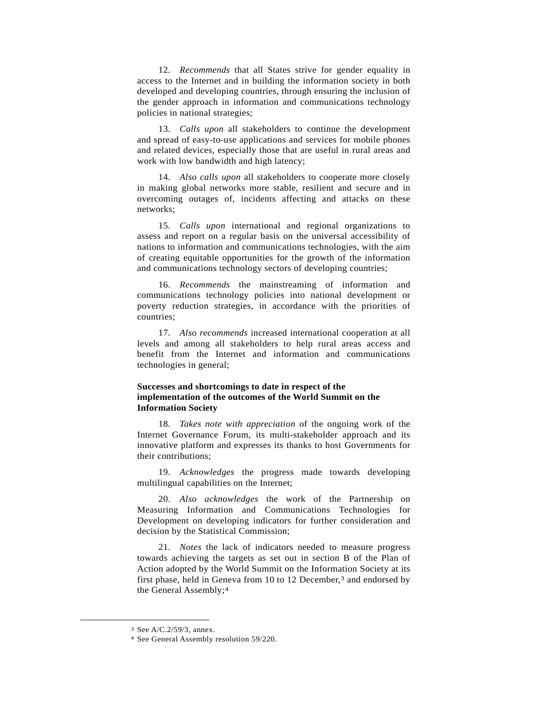12. *Recommends* that all States strive for gender equality in access to the Internet and in building the information society in both developed and developing countries, through ensuring the inclusion of the gender approach in information and communications technology policies in national strategies;

 13. *Calls upon* all stakeholders to continue the development and spread of easy-to-use applications and services for mobile phones and related devices, especially those that are useful in rural areas and work with low bandwidth and high latency;

 14. *Also calls upon* all stakeholders to cooperate more closely in making global networks more stable, resilient and secure and in overcoming outages of, incidents affecting and attacks on these networks;

 15. *Calls upon* international and regional organizations to assess and report on a regular basis on the universal accessibility of nations to information and communications technologies, with the aim of creating equitable opportunities for the growth of the information and communications technology sectors of developing countries;

 16. *Recommends* the mainstreaming of information and communications technology policies into national development or poverty reduction strategies, in accordance with the priorities of countries;

 17. *Also recommends* increased international cooperation at all levels and among all stakeholders to help rural areas access and benefit from the Internet and information and communications technologies in general;

### **Successes and shortcomings to date in respect of the implementation of the outcomes of the World Summit on the Information Society**

 18. *Takes note with appreciation* of the ongoing work of the Internet Governance Forum, its multi-stakeholder approach and its innovative platform and expresses its thanks to host Governments for their contributions;

 19. *Acknowledges* the progress made towards developing multilingual capabilities on the Internet;

 20. *Also acknowledges* the work of the Partnership on Measuring Information and Communications Technologies for Development on developing indicators for further consideration and decision by the Statistical Commission;

 21. *Notes* the lack of indicators needed to measure progress towards achieving the targets as set out in section B of the Plan of Action adopted by the World Summit on the Information Society at its first phase, held in Geneva from 10 to 12 December,<sup>3</sup> and endorsed by the General Assembly;4

 <sup>3</sup> See A/C.2/59/3, annex.

<sup>4</sup> See General Assembly resolution 59/220.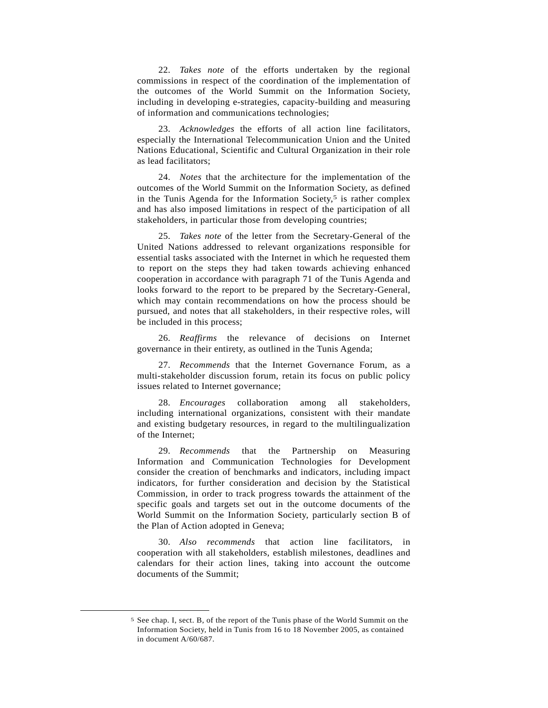22. *Takes note* of the efforts undertaken by the regional commissions in respect of the coordination of the implementation of the outcomes of the World Summit on the Information Society, including in developing e-strategies, capacity-building and measuring of information and communications technologies;

 23. *Acknowledges* the efforts of all action line facilitators, especially the International Telecommunication Union and the United Nations Educational, Scientific and Cultural Organization in their role as lead facilitators;

 24. *Notes* that the architecture for the implementation of the outcomes of the World Summit on the Information Society, as defined in the Tunis Agenda for the Information Society,<sup>5</sup> is rather complex and has also imposed limitations in respect of the participation of all stakeholders, in particular those from developing countries;

 25. *Takes note* of the letter from the Secretary-General of the United Nations addressed to relevant organizations responsible for essential tasks associated with the Internet in which he requested them to report on the steps they had taken towards achieving enhanced cooperation in accordance with paragraph 71 of the Tunis Agenda and looks forward to the report to be prepared by the Secretary-General, which may contain recommendations on how the process should be pursued, and notes that all stakeholders, in their respective roles, will be included in this process;

 26. *Reaffirms* the relevance of decisions on Internet governance in their entirety, as outlined in the Tunis Agenda;

 27. *Recommends* that the Internet Governance Forum, as a multi-stakeholder discussion forum, retain its focus on public policy issues related to Internet governance;

 28. *Encourages* collaboration among all stakeholders, including international organizations, consistent with their mandate and existing budgetary resources, in regard to the multilingualization of the Internet;

 29. *Recommends* that the Partnership on Measuring Information and Communication Technologies for Development consider the creation of benchmarks and indicators, including impact indicators, for further consideration and decision by the Statistical Commission, in order to track progress towards the attainment of the specific goals and targets set out in the outcome documents of the World Summit on the Information Society, particularly section B of the Plan of Action adopted in Geneva;

 30. *Also recommends* that action line facilitators, in cooperation with all stakeholders, establish milestones, deadlines and calendars for their action lines, taking into account the outcome documents of the Summit;

 <sup>5</sup> See chap. I, sect. B, of the report of the Tunis phase of the World Summit on the Information Society, held in Tunis from 16 to 18 November 2005, as contained in document A/60/687.